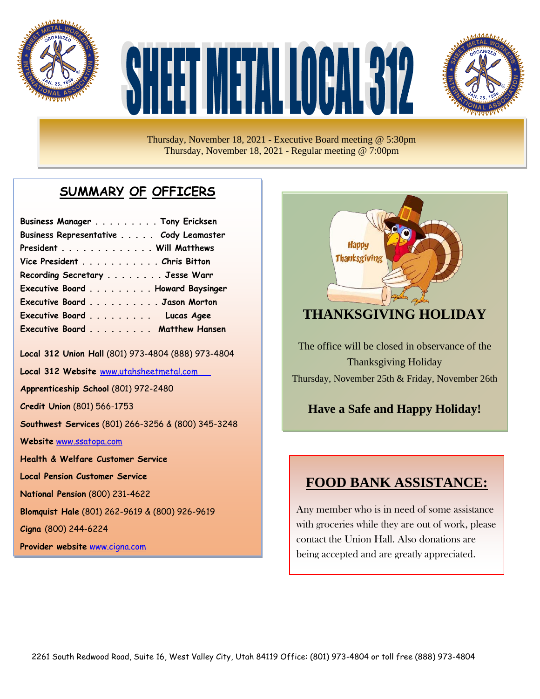

# TMETAL KOOMS



Thursday, November 18, 2021 - Executive Board meeting @ 5:30pm Thursday, November 18, 2021 - Regular meeting @ 7:00pm

# **SUMMARY OF OFFICERS**

| Business Manager Tony Ericksen         |  |
|----------------------------------------|--|
| Business Representative Cody Leamaster |  |
| President Will Matthews                |  |
| Vice President Chris Bitton            |  |
| Recording Secretary Jesse Warr         |  |
| Executive Board Howard Baysinger       |  |
| Executive Board Jason Morton           |  |
| Executive Board Lucas Agee             |  |
| Executive Board Matthew Hansen         |  |

**Local 312 Union Hall** (801) 973-4804 (888) 973-4804

**Local 312 Website** [www.utahsheetmetal.com](http://www.utahsheetmetal.com/)

**Apprenticeship School** (801) 972-2480

**Credit Union** (801) 566-1753

**Southwest Services** (801) 266-3256 & (800) 345-3248

**Website** [www.ssatopa.com](http://www.ssatopa.com/)

**Health & Welfare Customer Service**

**Local Pension Customer Service**

**National Pension** (800) 231-4622

**Blomquist Hale** (801) 262-9619 & (800) 926-9619

**Cigna** (800) 244-6224

**Provider website** [www.cigna.com](http://www.cigna.com/)



#### **THANKSGIVING HOLIDAY**

The office will be closed in observance of the Thanksgiving Holiday Thursday, November 25th & Friday, November 26th

# **Have a Safe and Happy Holiday!**

#### **FOOD BANK ASSISTANCE:**

Any member who is in need of some assistance with groceries while they are out of work, please contact the Union Hall. Also donations are being accepted and are greatly appreciated.